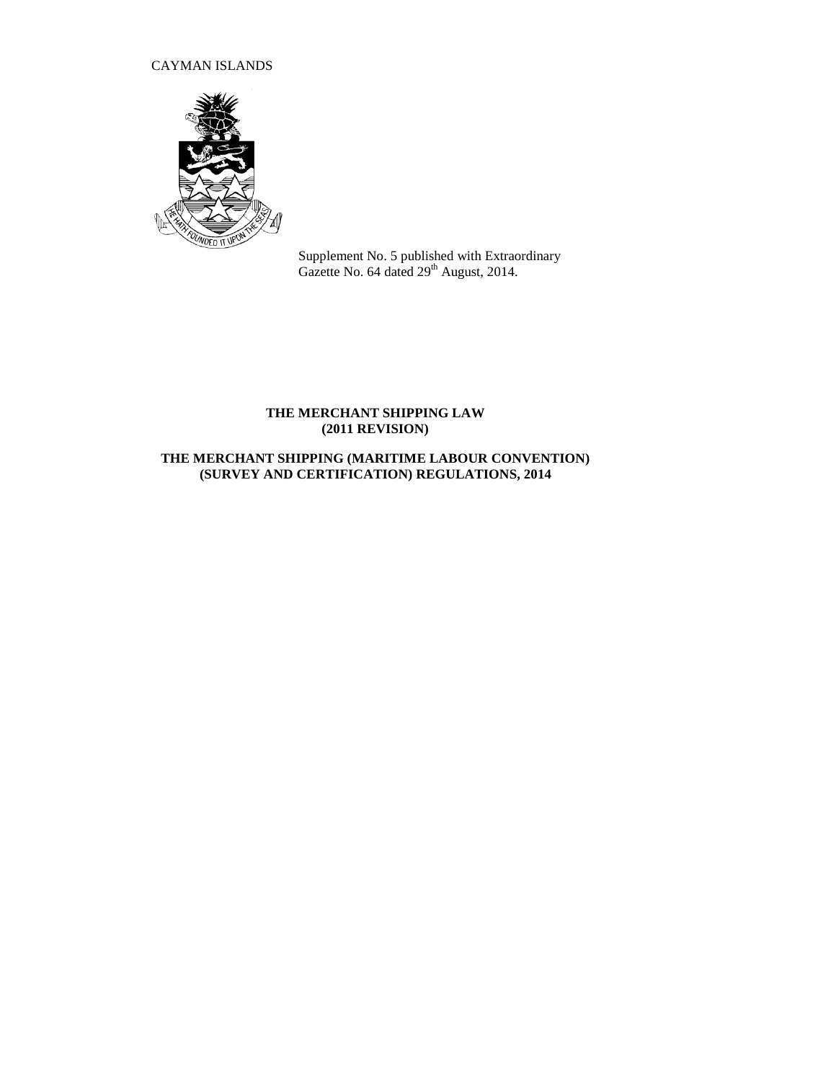# CAYMAN ISLANDS



Supplement No. 5 published with Extraordinary Gazette No. 64 dated  $29<sup>th</sup>$  August, 2014.

## **THE MERCHANT SHIPPING LAW (2011 REVISION)**

# **THE MERCHANT SHIPPING (MARITIME LABOUR CONVENTION) (SURVEY AND CERTIFICATION) REGULATIONS, 2014**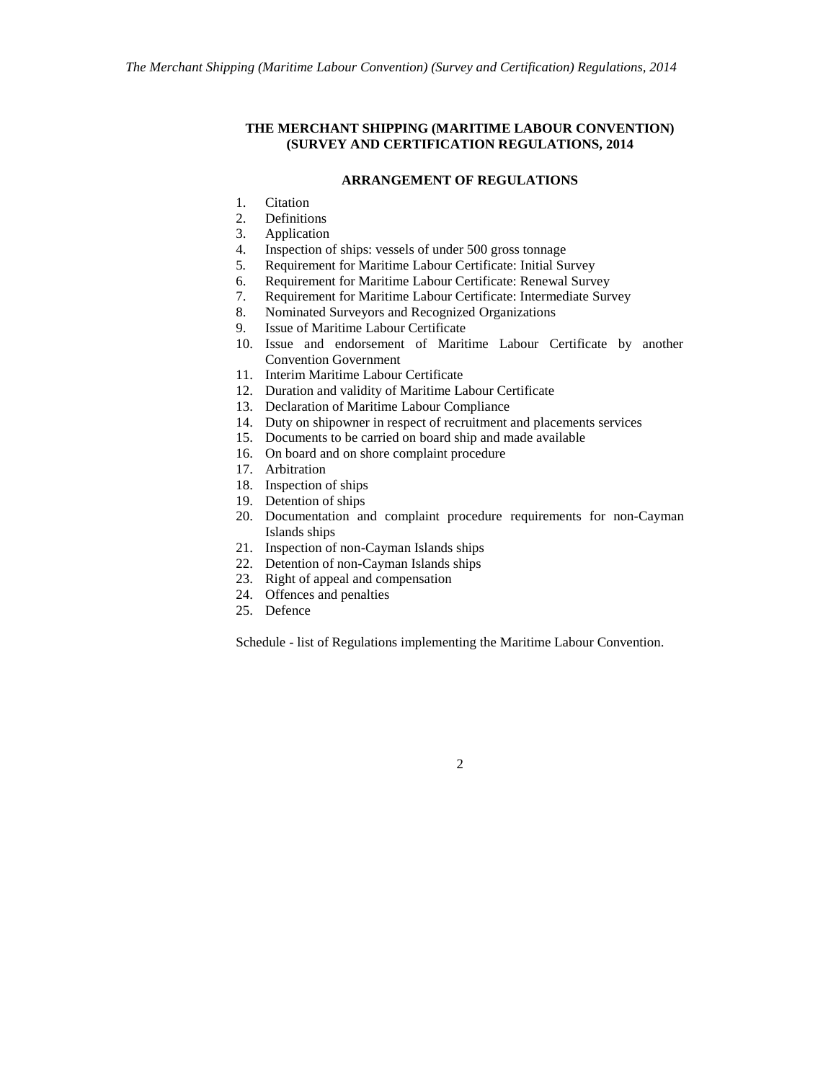## **THE MERCHANT SHIPPING (MARITIME LABOUR CONVENTION) (SURVEY AND CERTIFICATION REGULATIONS, 2014**

## **ARRANGEMENT OF REGULATIONS**

- 1. Citation
- 2. Definitions
- 3. Application
- 4. Inspection of ships: vessels of under 500 gross tonnage
- 5*.* Requirement for Maritime Labour Certificate: Initial Survey
- 6. Requirement for Maritime Labour Certificate: Renewal Survey
- 7. Requirement for Maritime Labour Certificate: Intermediate Survey
- 8. Nominated Surveyors and Recognized Organizations
- 9. Issue of Maritime Labour Certificate
- 10. Issue and endorsement of Maritime Labour Certificate by another Convention Government
- 11. Interim Maritime Labour Certificate
- 12. Duration and validity of Maritime Labour Certificate
- 13. Declaration of Maritime Labour Compliance
- 14. Duty on shipowner in respect of recruitment and placements services
- 15. Documents to be carried on board ship and made available
- 16. On board and on shore complaint procedure
- 17. Arbitration
- 18. Inspection of ships
- 19. Detention of ships
- 20. Documentation and complaint procedure requirements for non-Cayman Islands ships
- 21. Inspection of non-Cayman Islands ships
- 22. Detention of non-Cayman Islands ships
- 23. Right of appeal and compensation
- 24. Offences and penalties
- 25. Defence

Schedule - list of Regulations implementing the Maritime Labour Convention.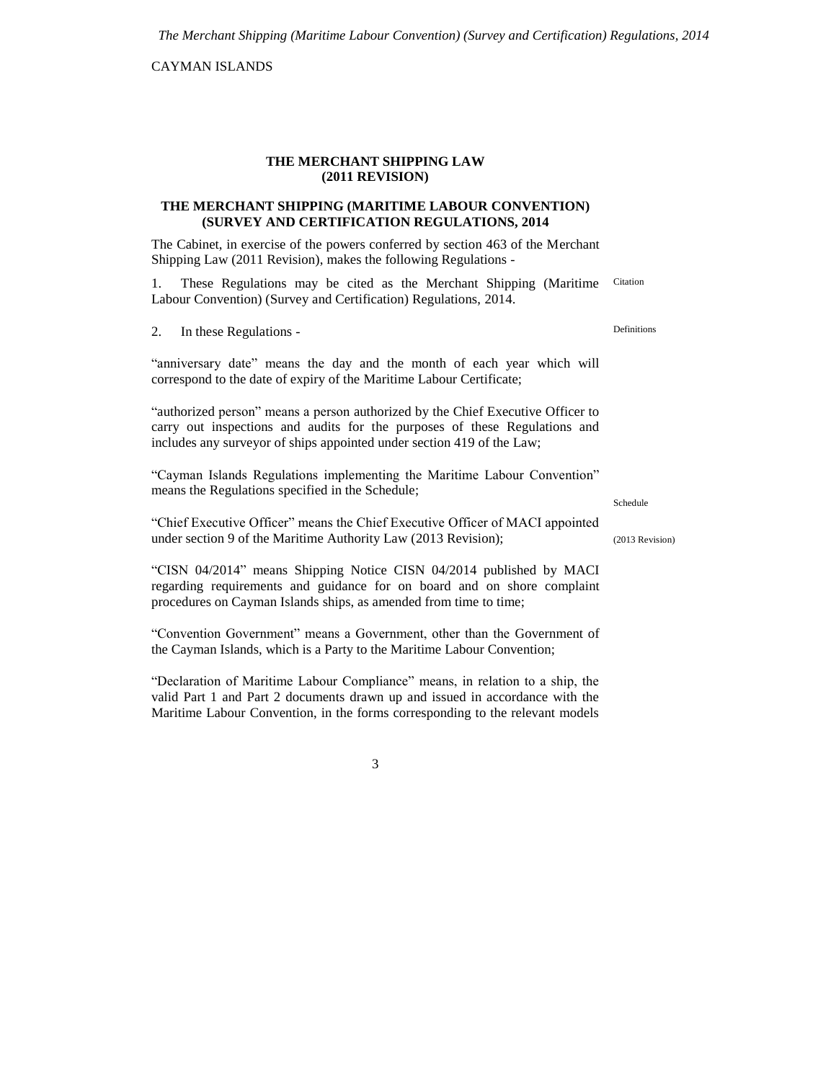CAYMAN ISLANDS

#### **THE MERCHANT SHIPPING LAW (2011 REVISION)**

## **THE MERCHANT SHIPPING (MARITIME LABOUR CONVENTION) (SURVEY AND CERTIFICATION REGULATIONS, 2014**

The Cabinet, in exercise of the powers conferred by section 463 of the Merchant Shipping Law (2011 Revision), makes the following Regulations -

1. These Regulations may be cited as the Merchant Shipping (Maritime Labour Convention) (Survey and Certification) Regulations, 2014. Citation

2. In these Regulations -

"anniversary date" means the day and the month of each year which will correspond to the date of expiry of the Maritime Labour Certificate;

"authorized person" means a person authorized by the Chief Executive Officer to carry out inspections and audits for the purposes of these Regulations and includes any surveyor of ships appointed under section 419 of the Law;

"Cayman Islands Regulations implementing the Maritime Labour Convention" means the Regulations specified in the Schedule;

"Chief Executive Officer" means the Chief Executive Officer of MACI appointed under section 9 of the Maritime Authority Law (2013 Revision);

"CISN 04/2014" means Shipping Notice CISN 04/2014 published by MACI regarding requirements and guidance for on board and on shore complaint procedures on Cayman Islands ships, as amended from time to time;

"Convention Government" means a Government, other than the Government of the Cayman Islands, which is a Party to the Maritime Labour Convention;

"Declaration of Maritime Labour Compliance" means, in relation to a ship, the valid Part 1 and Part 2 documents drawn up and issued in accordance with the Maritime Labour Convention, in the forms corresponding to the relevant models

3

Definitions

Schedule

(2013 Revision)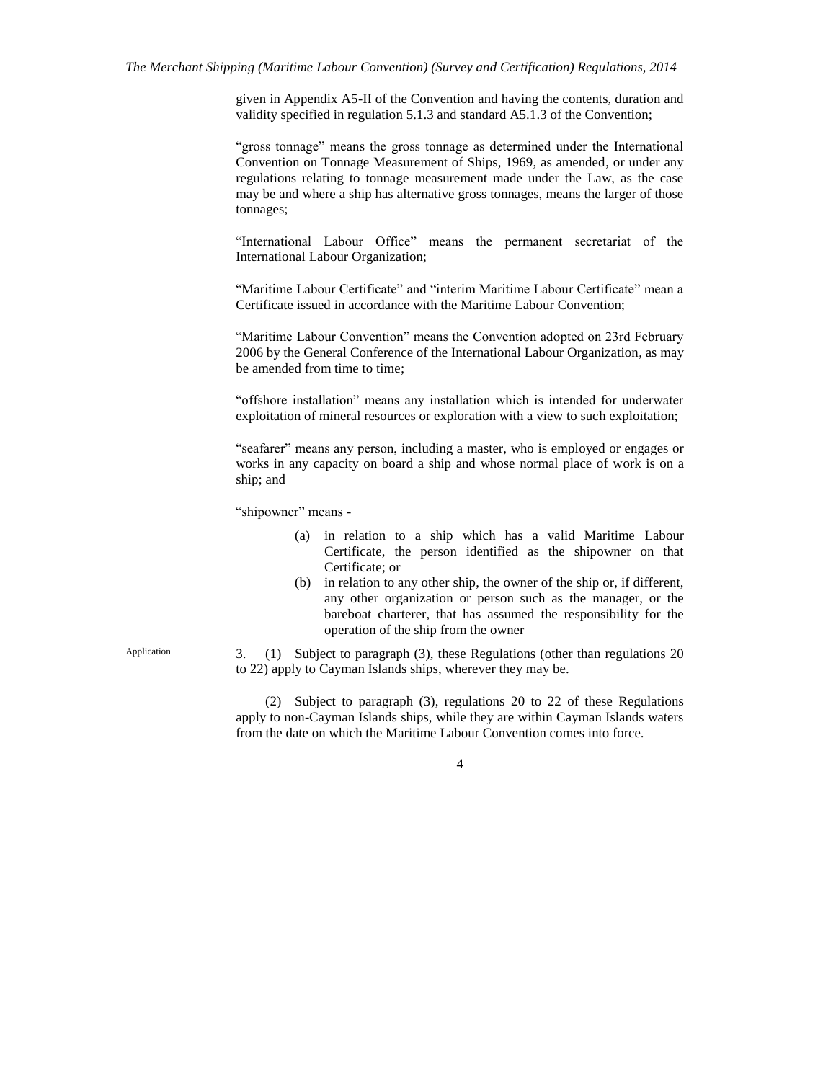given in Appendix A5-II of the Convention and having the contents, duration and validity specified in regulation 5.1.3 and standard A5.1.3 of the Convention;

"gross tonnage" means the gross tonnage as determined under the International Convention on Tonnage Measurement of Ships, 1969, as amended, or under any regulations relating to tonnage measurement made under the Law, as the case may be and where a ship has alternative gross tonnages, means the larger of those tonnages;

"International Labour Office" means the permanent secretariat of the International Labour Organization;

"Maritime Labour Certificate" and "interim Maritime Labour Certificate" mean a Certificate issued in accordance with the Maritime Labour Convention;

"Maritime Labour Convention" means the Convention adopted on 23rd February 2006 by the General Conference of the International Labour Organization, as may be amended from time to time;

"offshore installation" means any installation which is intended for underwater exploitation of mineral resources or exploration with a view to such exploitation;

"seafarer" means any person, including a master, who is employed or engages or works in any capacity on board a ship and whose normal place of work is on a ship; and

"shipowner" means -

- (a) in relation to a ship which has a valid Maritime Labour Certificate, the person identified as the shipowner on that Certificate; or
- (b) in relation to any other ship, the owner of the ship or, if different, any other organization or person such as the manager, or the bareboat charterer, that has assumed the responsibility for the operation of the ship from the owner

3. (1) Subject to paragraph (3), these Regulations (other than regulations 20 to 22) apply to Cayman Islands ships, wherever they may be.

(2) Subject to paragraph (3), regulations 20 to 22 of these Regulations apply to non-Cayman Islands ships, while they are within Cayman Islands waters from the date on which the Maritime Labour Convention comes into force.

4

Application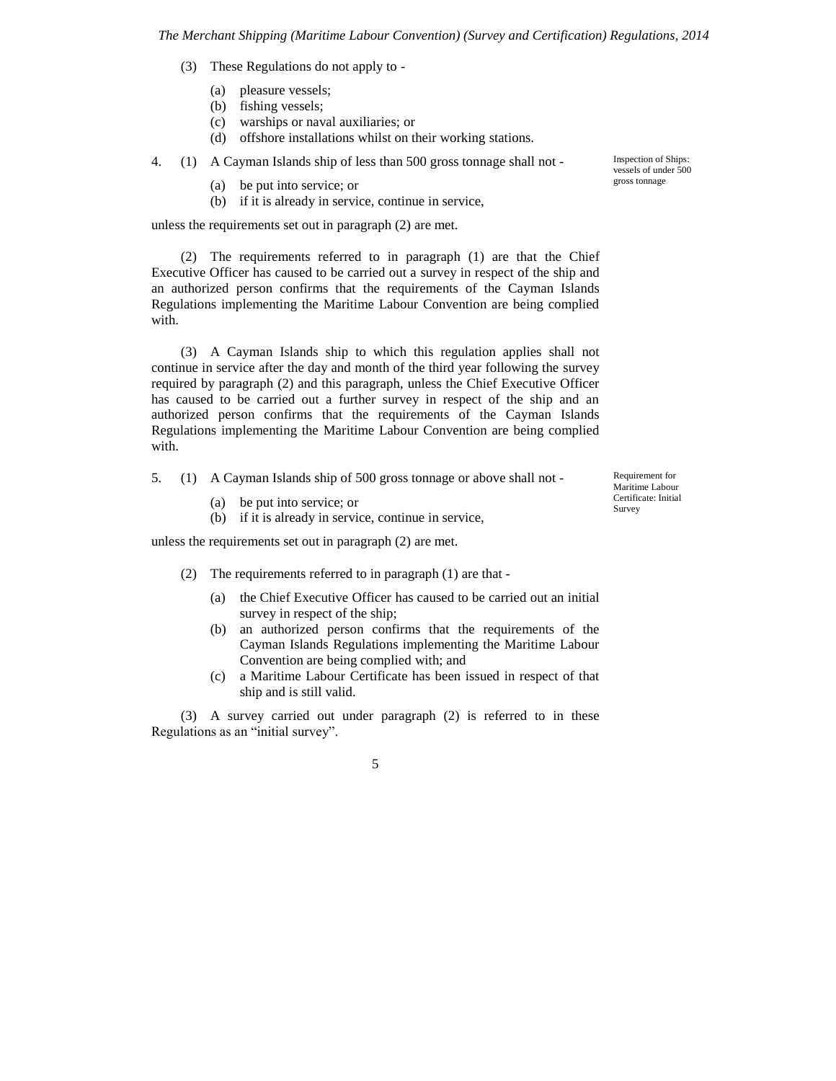- (3) These Regulations do not apply to
	- (a) pleasure vessels;
	- (b) fishing vessels;
	- (c) warships or naval auxiliaries; or
	- (d) offshore installations whilst on their working stations.

4. (1) A Cayman Islands ship of less than 500 gross tonnage shall not -

- (a) be put into service; or
- (b) if it is already in service, continue in service,

unless the requirements set out in paragraph (2) are met.

(2) The requirements referred to in paragraph (1) are that the Chief Executive Officer has caused to be carried out a survey in respect of the ship and an authorized person confirms that the requirements of the Cayman Islands Regulations implementing the Maritime Labour Convention are being complied with.

(3) A Cayman Islands ship to which this regulation applies shall not continue in service after the day and month of the third year following the survey required by paragraph (2) and this paragraph, unless the Chief Executive Officer has caused to be carried out a further survey in respect of the ship and an authorized person confirms that the requirements of the Cayman Islands Regulations implementing the Maritime Labour Convention are being complied with.

- 5. (1) A Cayman Islands ship of 500 gross tonnage or above shall not
	- (a) be put into service; or
	- (b) if it is already in service, continue in service,

unless the requirements set out in paragraph (2) are met.

- (2) The requirements referred to in paragraph (1) are that
	- (a) the Chief Executive Officer has caused to be carried out an initial survey in respect of the ship;
	- (b) an authorized person confirms that the requirements of the Cayman Islands Regulations implementing the Maritime Labour Convention are being complied with; and
	- (c) a Maritime Labour Certificate has been issued in respect of that ship and is still valid.

(3) A survey carried out under paragraph (2) is referred to in these Regulations as an "initial survey".

5

Inspection of Ships: vessels of under 500 gross tonnage

Requirement for Maritime Labour Certificate: Initial Survey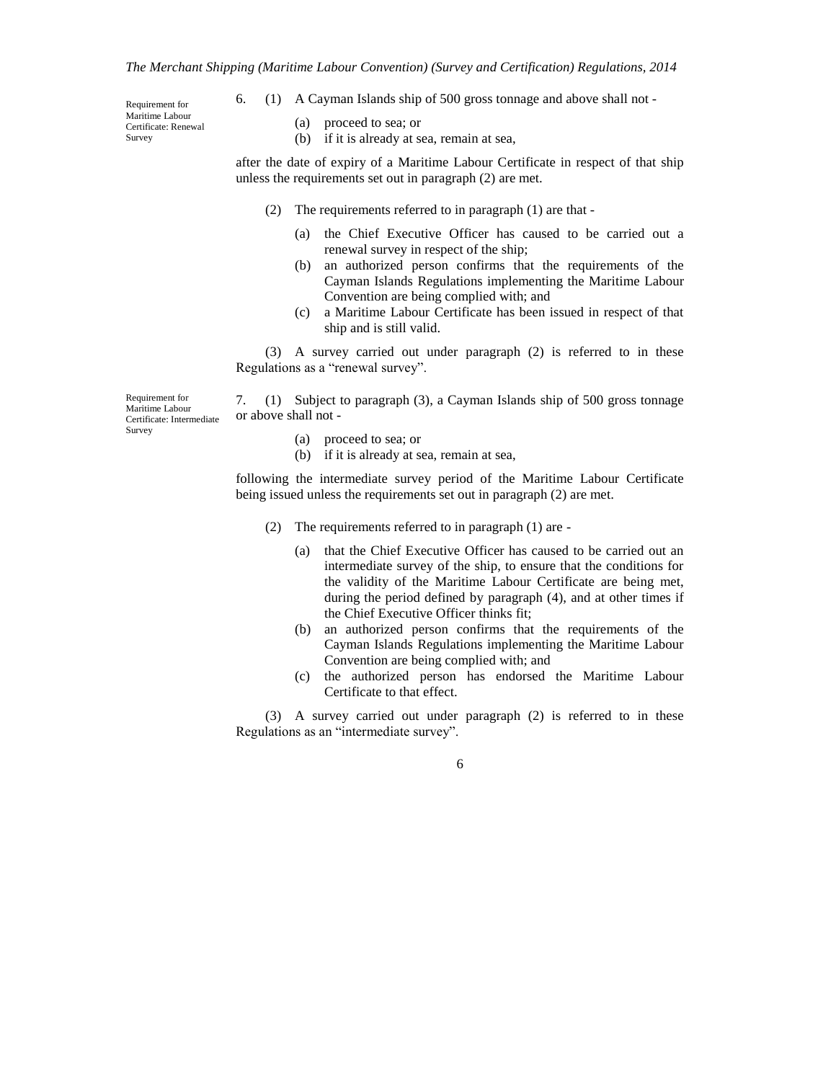Requirement for Maritime Labour Certificate: Renewal Survey

- 6. (1) A Cayman Islands ship of 500 gross tonnage and above shall not
	- (a) proceed to sea; or
	- (b) if it is already at sea, remain at sea,

after the date of expiry of a Maritime Labour Certificate in respect of that ship unless the requirements set out in paragraph (2) are met.

- (2) The requirements referred to in paragraph (1) are that
	- (a) the Chief Executive Officer has caused to be carried out a renewal survey in respect of the ship;
	- (b) an authorized person confirms that the requirements of the Cayman Islands Regulations implementing the Maritime Labour Convention are being complied with; and
	- (c) a Maritime Labour Certificate has been issued in respect of that ship and is still valid.

(3) A survey carried out under paragraph (2) is referred to in these Regulations as a "renewal survey".

Requirement for Maritime Labour Certificate: Intermediate Survey

- 7. (1) Subject to paragraph (3), a Cayman Islands ship of 500 gross tonnage or above shall not -
	- (a) proceed to sea; or
	- (b) if it is already at sea, remain at sea,

following the intermediate survey period of the Maritime Labour Certificate being issued unless the requirements set out in paragraph (2) are met.

- (2) The requirements referred to in paragraph (1) are
	- (a) that the Chief Executive Officer has caused to be carried out an intermediate survey of the ship, to ensure that the conditions for the validity of the Maritime Labour Certificate are being met, during the period defined by paragraph (4), and at other times if the Chief Executive Officer thinks fit;
	- (b) an authorized person confirms that the requirements of the Cayman Islands Regulations implementing the Maritime Labour Convention are being complied with; and
	- (c) the authorized person has endorsed the Maritime Labour Certificate to that effect.

(3) A survey carried out under paragraph (2) is referred to in these Regulations as an "intermediate survey".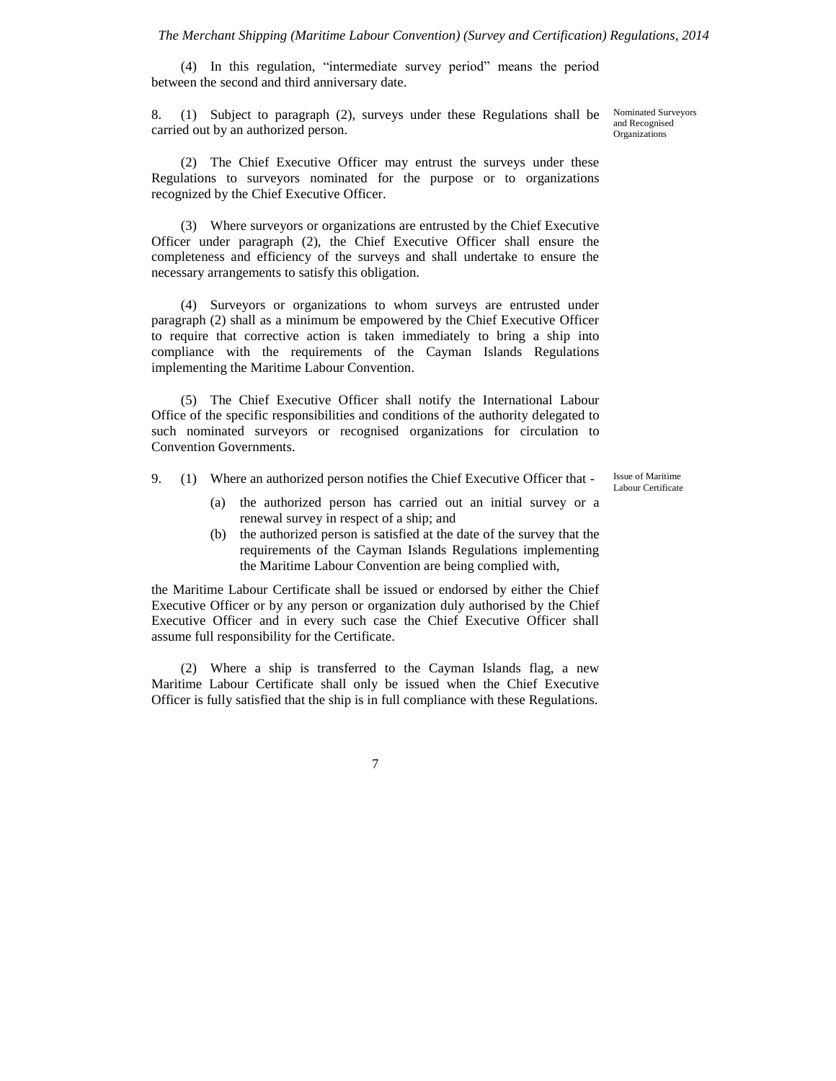(4) In this regulation, "intermediate survey period" means the period between the second and third anniversary date.

8. (1) Subject to paragraph (2), surveys under these Regulations shall be carried out by an authorized person.

(2) The Chief Executive Officer may entrust the surveys under these Regulations to surveyors nominated for the purpose or to organizations recognized by the Chief Executive Officer.

(3) Where surveyors or organizations are entrusted by the Chief Executive Officer under paragraph (2), the Chief Executive Officer shall ensure the completeness and efficiency of the surveys and shall undertake to ensure the necessary arrangements to satisfy this obligation.

(4) Surveyors or organizations to whom surveys are entrusted under paragraph (2) shall as a minimum be empowered by the Chief Executive Officer to require that corrective action is taken immediately to bring a ship into compliance with the requirements of the Cayman Islands Regulations implementing the Maritime Labour Convention.

(5) The Chief Executive Officer shall notify the International Labour Office of the specific responsibilities and conditions of the authority delegated to such nominated surveyors or recognised organizations for circulation to Convention Governments.

9. (1) Where an authorized person notifies the Chief Executive Officer that -

Issue of Maritime Labour Certificate

- (a) the authorized person has carried out an initial survey or a renewal survey in respect of a ship; and
- (b) the authorized person is satisfied at the date of the survey that the requirements of the Cayman Islands Regulations implementing the Maritime Labour Convention are being complied with,

the Maritime Labour Certificate shall be issued or endorsed by either the Chief Executive Officer or by any person or organization duly authorised by the Chief Executive Officer and in every such case the Chief Executive Officer shall assume full responsibility for the Certificate.

(2) Where a ship is transferred to the Cayman Islands flag, a new Maritime Labour Certificate shall only be issued when the Chief Executive Officer is fully satisfied that the ship is in full compliance with these Regulations.

7

Nominated Surveyors and Recognised **Organizations**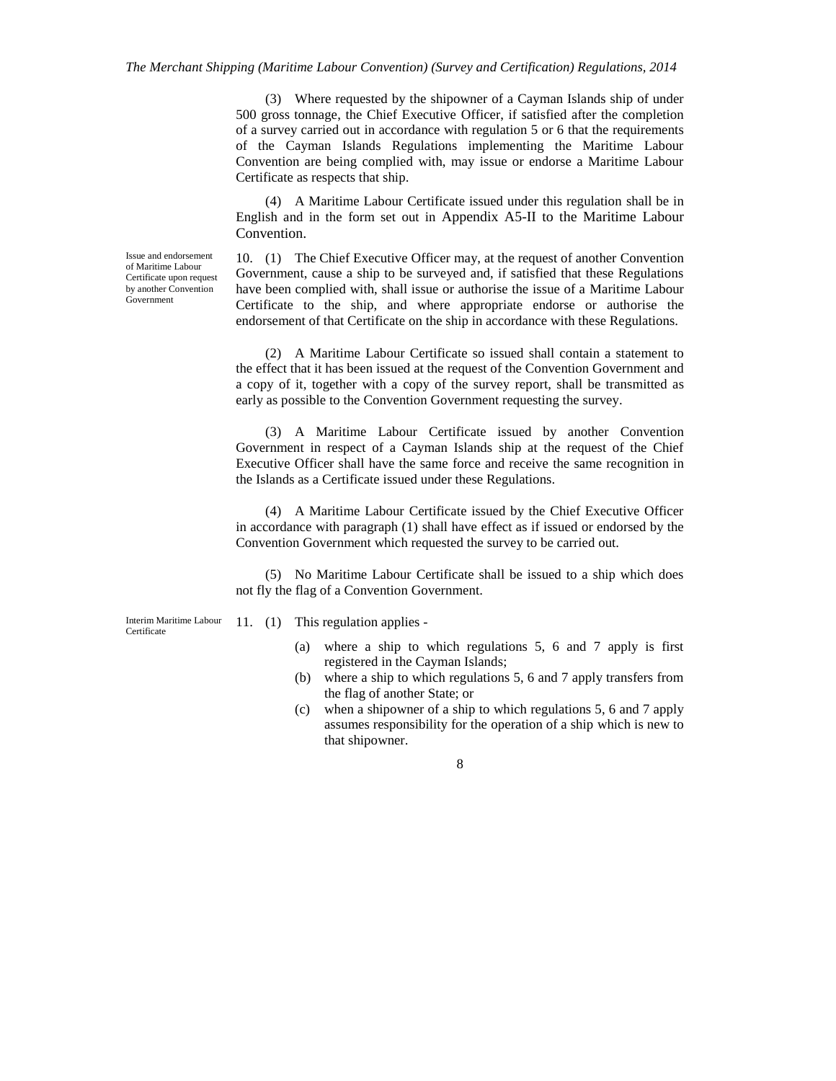(3) Where requested by the shipowner of a Cayman Islands ship of under 500 gross tonnage, the Chief Executive Officer, if satisfied after the completion of a survey carried out in accordance with regulation 5 or 6 that the requirements of the Cayman Islands Regulations implementing the Maritime Labour Convention are being complied with, may issue or endorse a Maritime Labour Certificate as respects that ship.

(4) A Maritime Labour Certificate issued under this regulation shall be in English and in the form set out in Appendix A5-II to the Maritime Labour Convention.

10. (1) The Chief Executive Officer may, at the request of another Convention Government, cause a ship to be surveyed and, if satisfied that these Regulations have been complied with, shall issue or authorise the issue of a Maritime Labour Certificate to the ship, and where appropriate endorse or authorise the endorsement of that Certificate on the ship in accordance with these Regulations.

(2) A Maritime Labour Certificate so issued shall contain a statement to the effect that it has been issued at the request of the Convention Government and a copy of it, together with a copy of the survey report, shall be transmitted as early as possible to the Convention Government requesting the survey.

(3) A Maritime Labour Certificate issued by another Convention Government in respect of a Cayman Islands ship at the request of the Chief Executive Officer shall have the same force and receive the same recognition in the Islands as a Certificate issued under these Regulations.

(4) A Maritime Labour Certificate issued by the Chief Executive Officer in accordance with paragraph (1) shall have effect as if issued or endorsed by the Convention Government which requested the survey to be carried out.

(5) No Maritime Labour Certificate shall be issued to a ship which does not fly the flag of a Convention Government.

Interim Maritime Labour Certificate

11. (1) This regulation applies -

- (a) where a ship to which regulations 5, 6 and 7 apply is first registered in the Cayman Islands;
- (b) where a ship to which regulations 5, 6 and 7 apply transfers from the flag of another State; or
- (c) when a shipowner of a ship to which regulations 5, 6 and 7 apply assumes responsibility for the operation of a ship which is new to that shipowner.

8

Issue and endorsement of Maritime Labour Certificate upon request by another Convention Government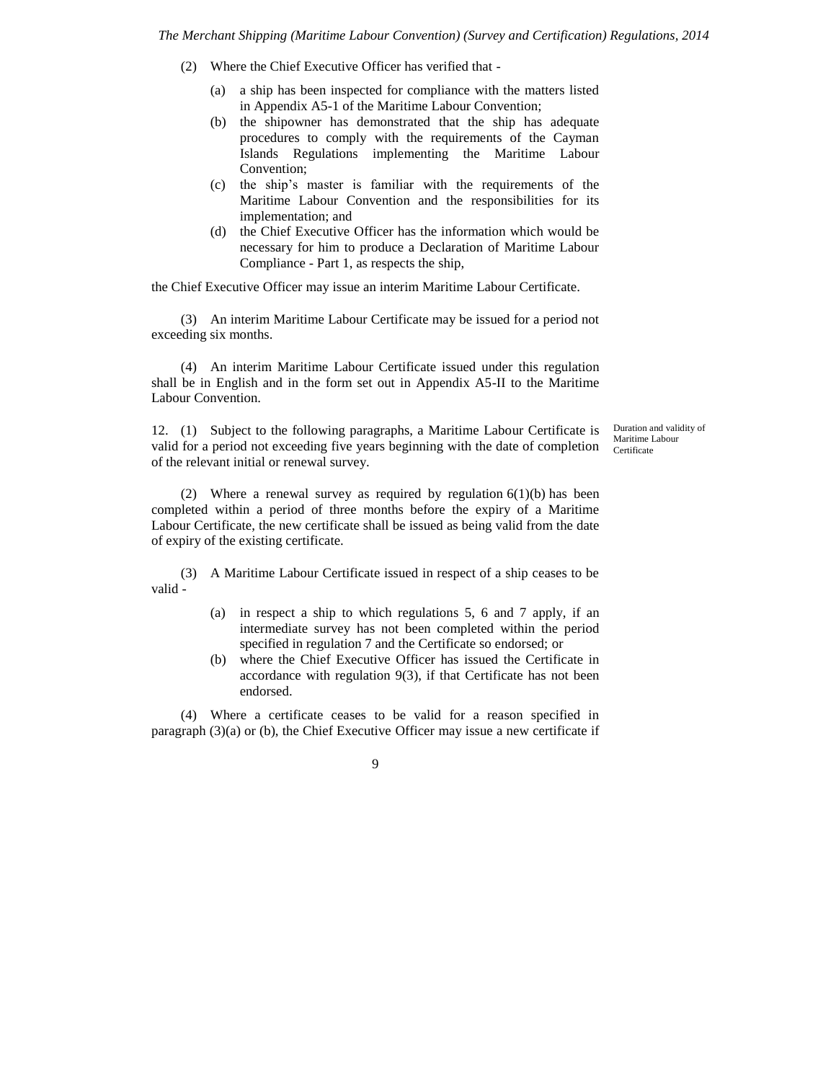- (2) Where the Chief Executive Officer has verified that
	- (a) a ship has been inspected for compliance with the matters listed in Appendix A5-1 of the Maritime Labour Convention;
	- (b) the shipowner has demonstrated that the ship has adequate procedures to comply with the requirements of the Cayman Islands Regulations implementing the Maritime Labour Convention;
	- (c) the ship's master is familiar with the requirements of the Maritime Labour Convention and the responsibilities for its implementation; and
	- (d) the Chief Executive Officer has the information which would be necessary for him to produce a Declaration of Maritime Labour Compliance - Part 1, as respects the ship,

the Chief Executive Officer may issue an interim Maritime Labour Certificate.

(3) An interim Maritime Labour Certificate may be issued for a period not exceeding six months.

(4) An interim Maritime Labour Certificate issued under this regulation shall be in English and in the form set out in Appendix A5-II to the Maritime Labour Convention.

12. (1) Subject to the following paragraphs, a Maritime Labour Certificate is valid for a period not exceeding five years beginning with the date of completion of the relevant initial or renewal survey.

Duration and validity of Maritime Labour Certificate

(2) Where a renewal survey as required by regulation  $6(1)(b)$  has been completed within a period of three months before the expiry of a Maritime Labour Certificate, the new certificate shall be issued as being valid from the date of expiry of the existing certificate.

(3) A Maritime Labour Certificate issued in respect of a ship ceases to be valid -

- (a) in respect a ship to which regulations 5, 6 and 7 apply, if an intermediate survey has not been completed within the period specified in regulation 7 and the Certificate so endorsed; or
- (b) where the Chief Executive Officer has issued the Certificate in accordance with regulation 9(3), if that Certificate has not been endorsed.

(4) Where a certificate ceases to be valid for a reason specified in paragraph (3)(a) or (b), the Chief Executive Officer may issue a new certificate if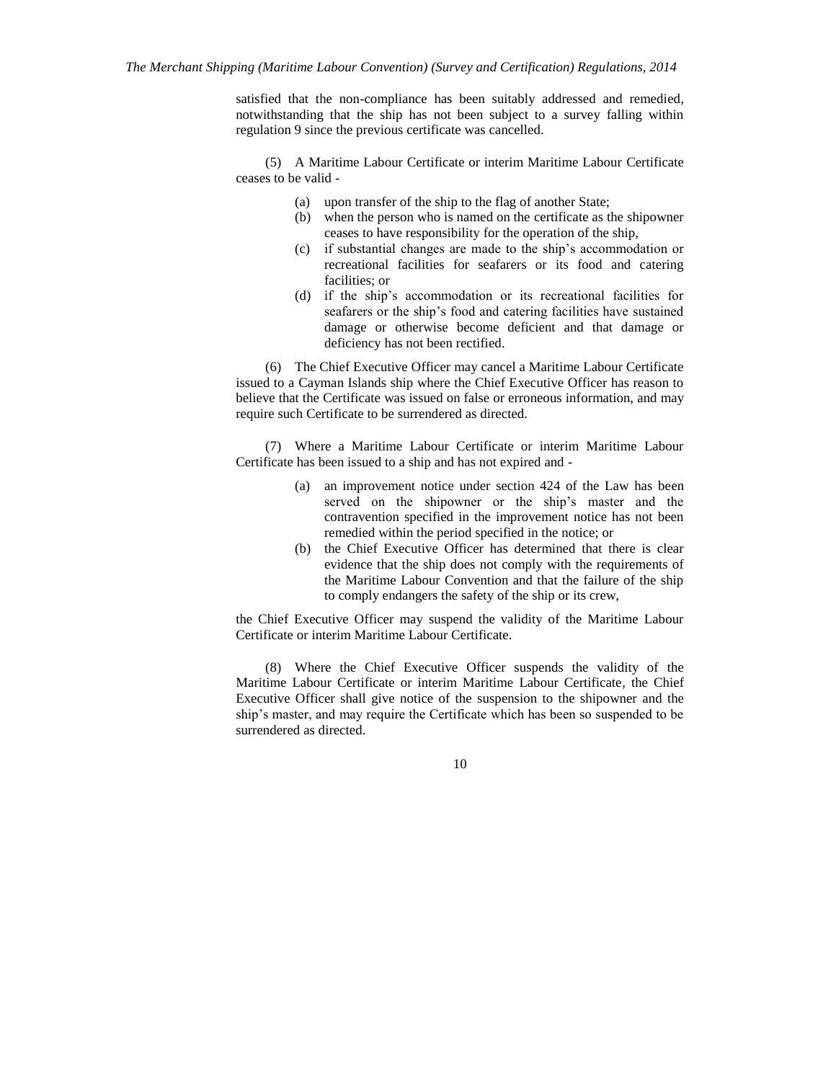satisfied that the non-compliance has been suitably addressed and remedied, notwithstanding that the ship has not been subject to a survey falling within regulation 9 since the previous certificate was cancelled.

(5) A Maritime Labour Certificate or interim Maritime Labour Certificate ceases to be valid -

- (a) upon transfer of the ship to the flag of another State;
- (b) when the person who is named on the certificate as the shipowner ceases to have responsibility for the operation of the ship,
- (c) if substantial changes are made to the ship's accommodation or recreational facilities for seafarers or its food and catering facilities; or
- (d) if the ship's accommodation or its recreational facilities for seafarers or the ship's food and catering facilities have sustained damage or otherwise become deficient and that damage or deficiency has not been rectified.

(6) The Chief Executive Officer may cancel a Maritime Labour Certificate issued to a Cayman Islands ship where the Chief Executive Officer has reason to believe that the Certificate was issued on false or erroneous information, and may require such Certificate to be surrendered as directed.

(7) Where a Maritime Labour Certificate or interim Maritime Labour Certificate has been issued to a ship and has not expired and -

- (a) an improvement notice under section 424 of the Law has been served on the shipowner or the ship's master and the contravention specified in the improvement notice has not been remedied within the period specified in the notice; or
- (b) the Chief Executive Officer has determined that there is clear evidence that the ship does not comply with the requirements of the Maritime Labour Convention and that the failure of the ship to comply endangers the safety of the ship or its crew,

the Chief Executive Officer may suspend the validity of the Maritime Labour Certificate or interim Maritime Labour Certificate.

(8) Where the Chief Executive Officer suspends the validity of the Maritime Labour Certificate or interim Maritime Labour Certificate, the Chief Executive Officer shall give notice of the suspension to the shipowner and the ship's master, and may require the Certificate which has been so suspended to be surrendered as directed.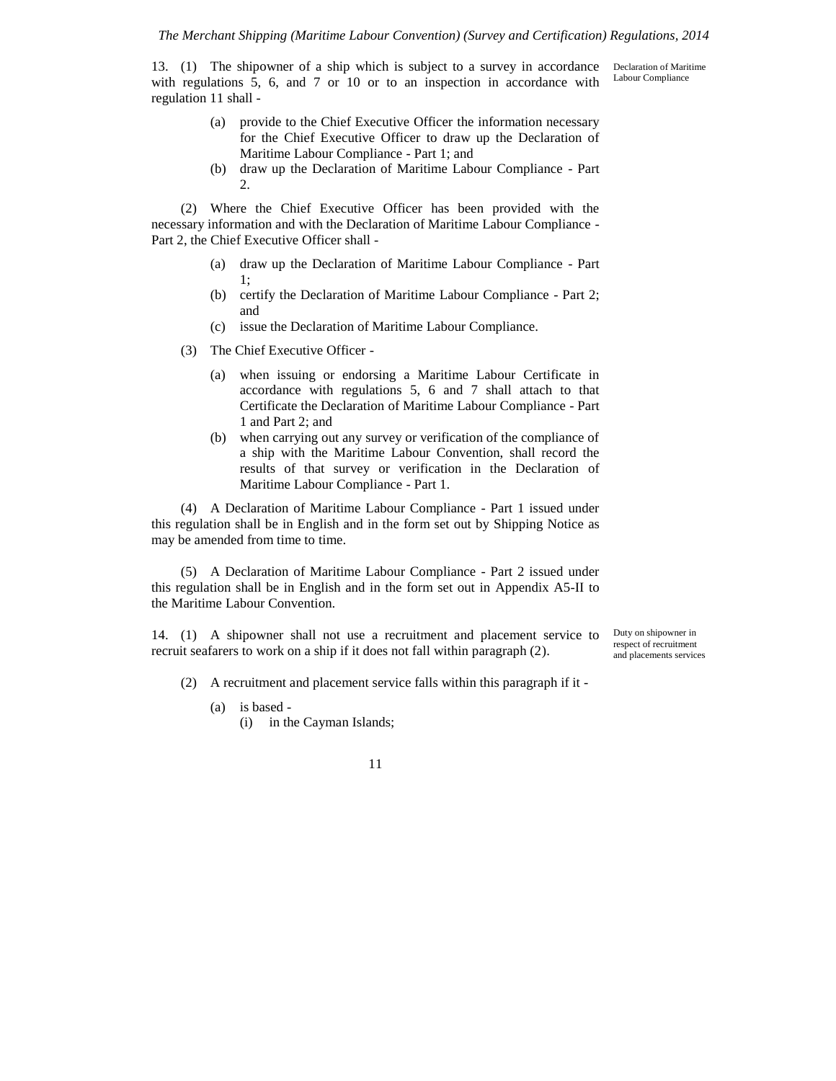13. (1) The shipowner of a ship which is subject to a survey in accordance with regulations 5, 6, and 7 or 10 or to an inspection in accordance with regulation 11 shall -

Declaration of Maritime Labour Compliance

- (a) provide to the Chief Executive Officer the information necessary for the Chief Executive Officer to draw up the Declaration of Maritime Labour Compliance - Part 1; and
- (b) draw up the Declaration of Maritime Labour Compliance Part  $\mathcal{D}$

(2) Where the Chief Executive Officer has been provided with the necessary information and with the Declaration of Maritime Labour Compliance - Part 2, the Chief Executive Officer shall -

- (a) draw up the Declaration of Maritime Labour Compliance Part 1;
- (b) certify the Declaration of Maritime Labour Compliance Part 2; and
- (c) issue the Declaration of Maritime Labour Compliance.
- (3) The Chief Executive Officer
	- (a) when issuing or endorsing a Maritime Labour Certificate in accordance with regulations 5, 6 and 7 shall attach to that Certificate the Declaration of Maritime Labour Compliance - Part 1 and Part 2; and
	- (b) when carrying out any survey or verification of the compliance of a ship with the Maritime Labour Convention, shall record the results of that survey or verification in the Declaration of Maritime Labour Compliance - Part 1.

(4) A Declaration of Maritime Labour Compliance - Part 1 issued under this regulation shall be in English and in the form set out by Shipping Notice as may be amended from time to time.

(5) A Declaration of Maritime Labour Compliance - Part 2 issued under this regulation shall be in English and in the form set out in Appendix A5-II to the Maritime Labour Convention.

14. (1) A shipowner shall not use a recruitment and placement service to recruit seafarers to work on a ship if it does not fall within paragraph (2).

Duty on shipowner in respect of recruitment and placements services

- (2) A recruitment and placement service falls within this paragraph if it
	- (a) is based
		- (i) in the Cayman Islands;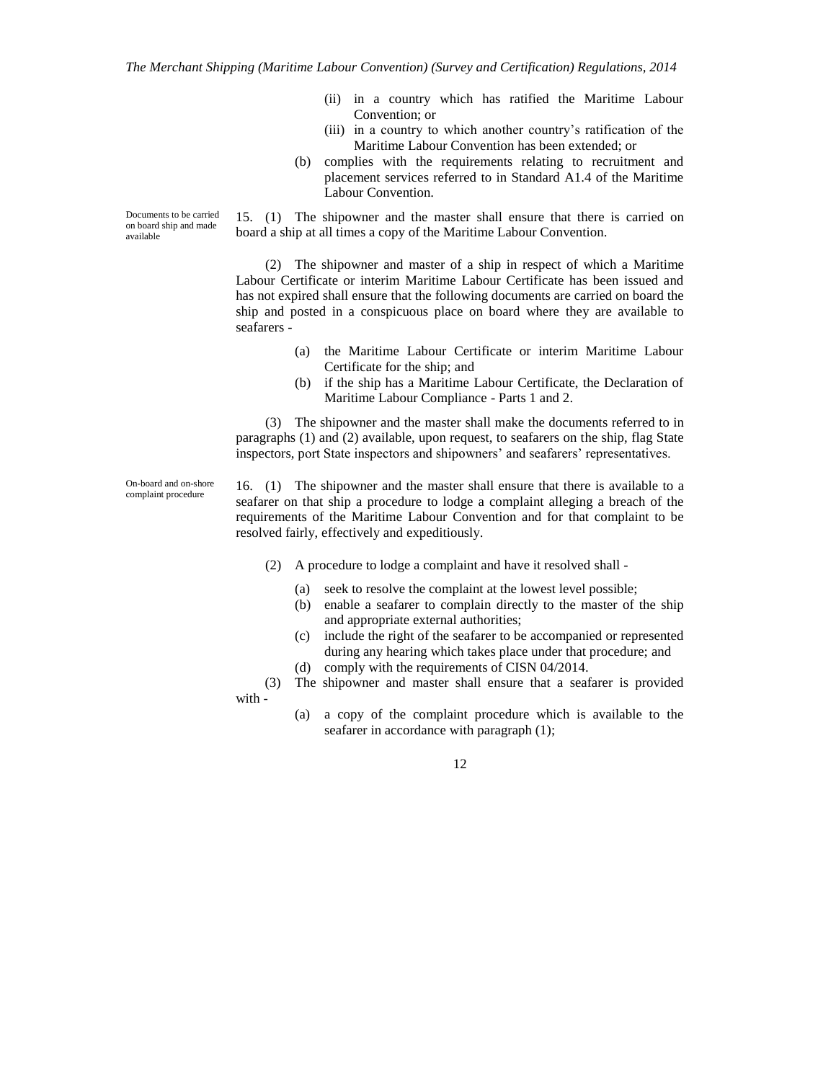- (ii) in a country which has ratified the Maritime Labour Convention; or
- (iii) in a country to which another country's ratification of the Maritime Labour Convention has been extended; or
- (b) complies with the requirements relating to recruitment and placement services referred to in Standard A1.4 of the Maritime Labour Convention.

15. (1) The shipowner and the master shall ensure that there is carried on board a ship at all times a copy of the Maritime Labour Convention.

(2) The shipowner and master of a ship in respect of which a Maritime Labour Certificate or interim Maritime Labour Certificate has been issued and has not expired shall ensure that the following documents are carried on board the ship and posted in a conspicuous place on board where they are available to seafarers -

- (a) the Maritime Labour Certificate or interim Maritime Labour Certificate for the ship; and
- (b) if the ship has a Maritime Labour Certificate, the Declaration of Maritime Labour Compliance - Parts 1 and 2.

(3) The shipowner and the master shall make the documents referred to in paragraphs (1) and (2) available, upon request, to seafarers on the ship, flag State inspectors, port State inspectors and shipowners' and seafarers' representatives.

On-board and on-shore complaint procedure

with -

16. (1) The shipowner and the master shall ensure that there is available to a seafarer on that ship a procedure to lodge a complaint alleging a breach of the requirements of the Maritime Labour Convention and for that complaint to be resolved fairly, effectively and expeditiously.

(2) A procedure to lodge a complaint and have it resolved shall -

- (a) seek to resolve the complaint at the lowest level possible;
- (b) enable a seafarer to complain directly to the master of the ship and appropriate external authorities;
- (c) include the right of the seafarer to be accompanied or represented during any hearing which takes place under that procedure; and
- (d) comply with the requirements of CISN 04/2014.
- (3) The shipowner and master shall ensure that a seafarer is provided
	- (a) a copy of the complaint procedure which is available to the seafarer in accordance with paragraph  $(1)$ ;

12

Documents to be carried on board ship and made available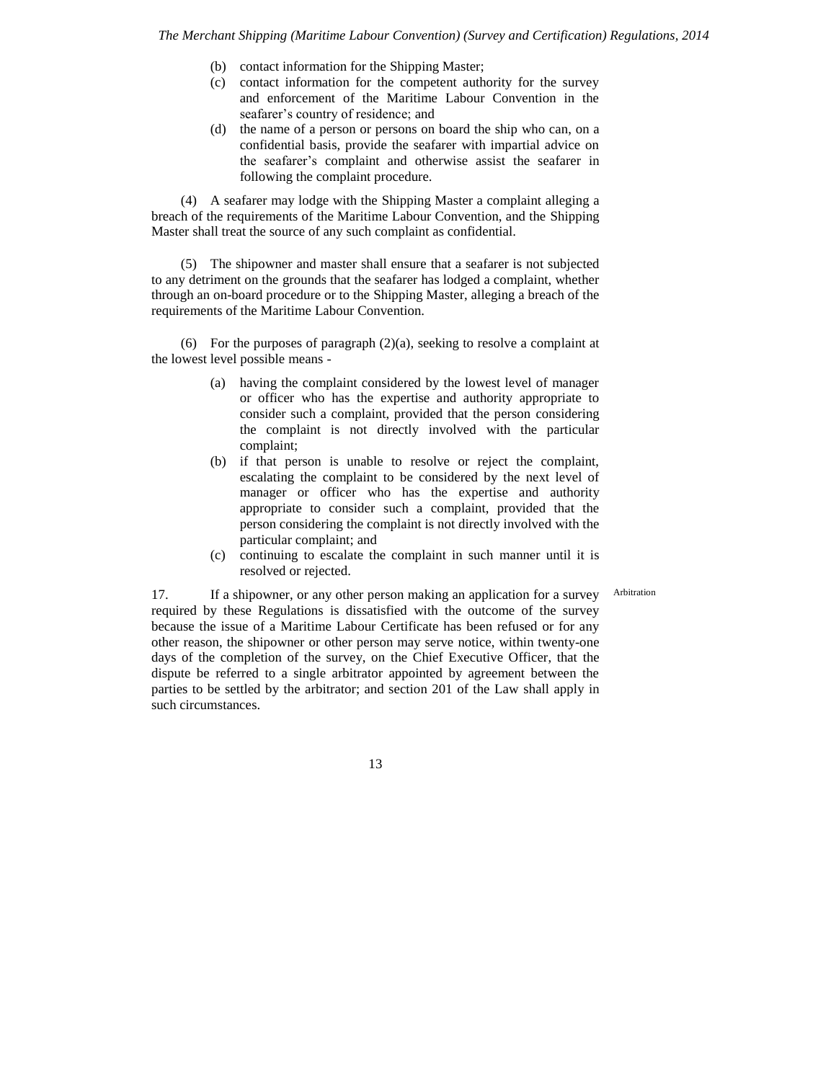- (b) contact information for the Shipping Master;
- (c) contact information for the competent authority for the survey and enforcement of the Maritime Labour Convention in the seafarer's country of residence; and
- (d) the name of a person or persons on board the ship who can, on a confidential basis, provide the seafarer with impartial advice on the seafarer's complaint and otherwise assist the seafarer in following the complaint procedure.

(4) A seafarer may lodge with the Shipping Master a complaint alleging a breach of the requirements of the Maritime Labour Convention, and the Shipping Master shall treat the source of any such complaint as confidential.

(5) The shipowner and master shall ensure that a seafarer is not subjected to any detriment on the grounds that the seafarer has lodged a complaint, whether through an on-board procedure or to the Shipping Master, alleging a breach of the requirements of the Maritime Labour Convention.

(6) For the purposes of paragraph (2)(a), seeking to resolve a complaint at the lowest level possible means -

- (a) having the complaint considered by the lowest level of manager or officer who has the expertise and authority appropriate to consider such a complaint, provided that the person considering the complaint is not directly involved with the particular complaint;
- (b) if that person is unable to resolve or reject the complaint, escalating the complaint to be considered by the next level of manager or officer who has the expertise and authority appropriate to consider such a complaint, provided that the person considering the complaint is not directly involved with the particular complaint; and
- (c) continuing to escalate the complaint in such manner until it is resolved or rejected.

Arbitration

17. If a shipowner, or any other person making an application for a survey required by these Regulations is dissatisfied with the outcome of the survey because the issue of a Maritime Labour Certificate has been refused or for any other reason, the shipowner or other person may serve notice, within twenty-one days of the completion of the survey, on the Chief Executive Officer, that the dispute be referred to a single arbitrator appointed by agreement between the parties to be settled by the arbitrator; and section 201 of the Law shall apply in such circumstances.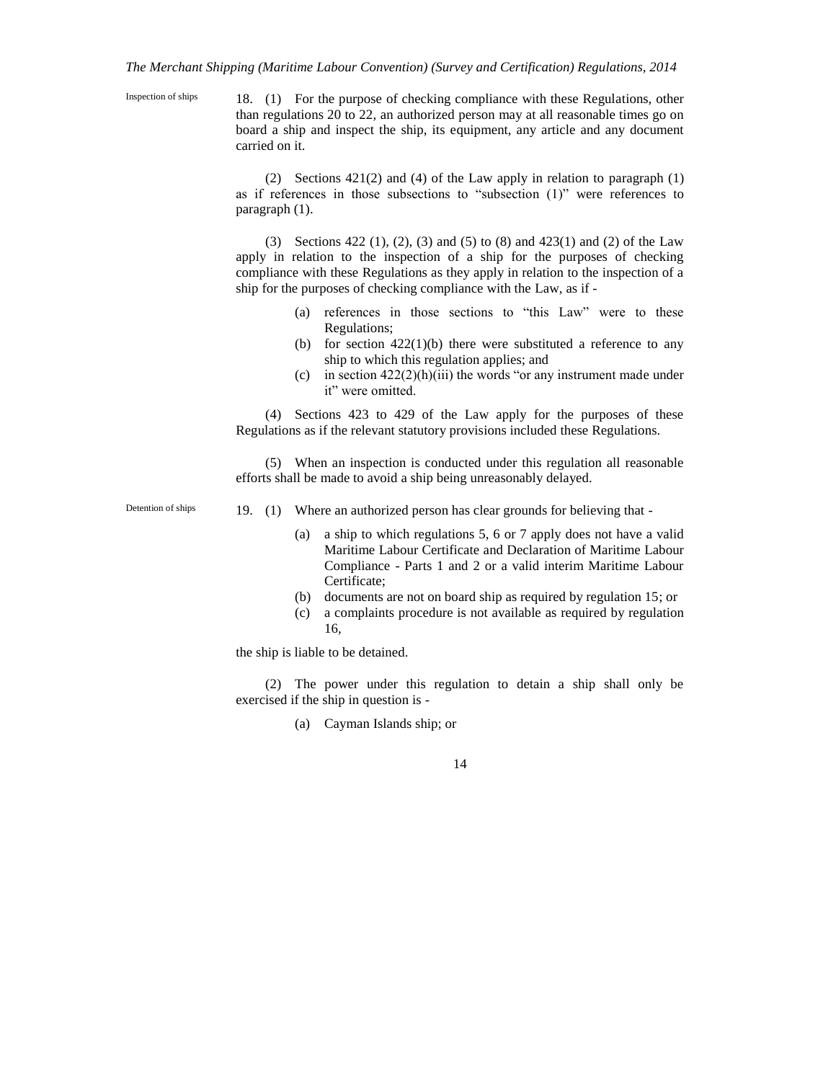Inspection of ships

18. (1) For the purpose of checking compliance with these Regulations, other than regulations 20 to 22, an authorized person may at all reasonable times go on board a ship and inspect the ship, its equipment, any article and any document carried on it.

(2) Sections 421(2) and (4) of the Law apply in relation to paragraph (1) as if references in those subsections to "subsection (1)" were references to paragraph (1).

(3) Sections 422 (1), (2), (3) and (5) to (8) and 423(1) and (2) of the Law apply in relation to the inspection of a ship for the purposes of checking compliance with these Regulations as they apply in relation to the inspection of a ship for the purposes of checking compliance with the Law, as if -

- (a) references in those sections to "this Law" were to these Regulations;
- (b) for section  $422(1)(b)$  there were substituted a reference to any ship to which this regulation applies; and
- (c) in section  $422(2)(h)(iii)$  the words "or any instrument made under it" were omitted.

(4) Sections 423 to 429 of the Law apply for the purposes of these Regulations as if the relevant statutory provisions included these Regulations.

(5) When an inspection is conducted under this regulation all reasonable efforts shall be made to avoid a ship being unreasonably delayed.

Detention of ships

- 19. (1) Where an authorized person has clear grounds for believing that
	- (a) a ship to which regulations 5, 6 or 7 apply does not have a valid Maritime Labour Certificate and Declaration of Maritime Labour Compliance - Parts 1 and 2 or a valid interim Maritime Labour Certificate;
	- (b) documents are not on board ship as required by regulation 15; or
	- (c) a complaints procedure is not available as required by regulation 16,

the ship is liable to be detained.

(2) The power under this regulation to detain a ship shall only be exercised if the ship in question is -

(a) Cayman Islands ship; or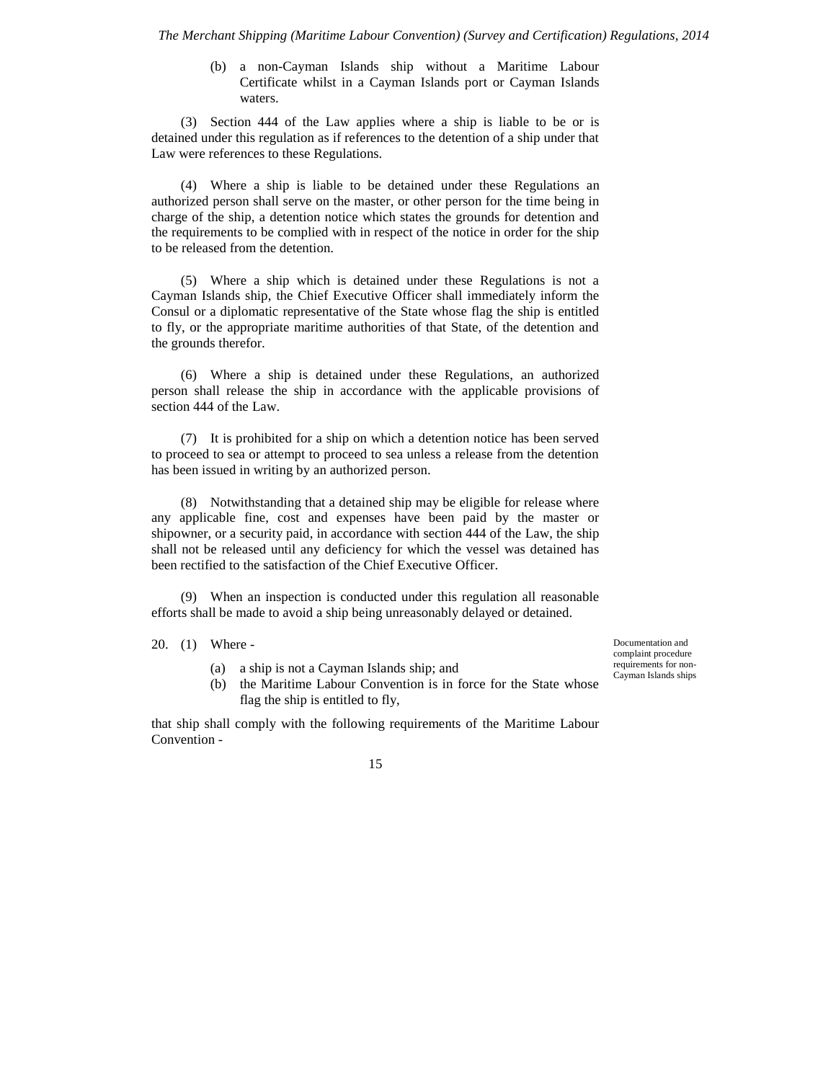(b) a non-Cayman Islands ship without a Maritime Labour Certificate whilst in a Cayman Islands port or Cayman Islands waters.

(3) Section 444 of the Law applies where a ship is liable to be or is detained under this regulation as if references to the detention of a ship under that Law were references to these Regulations.

(4) Where a ship is liable to be detained under these Regulations an authorized person shall serve on the master, or other person for the time being in charge of the ship, a detention notice which states the grounds for detention and the requirements to be complied with in respect of the notice in order for the ship to be released from the detention.

(5) Where a ship which is detained under these Regulations is not a Cayman Islands ship, the Chief Executive Officer shall immediately inform the Consul or a diplomatic representative of the State whose flag the ship is entitled to fly, or the appropriate maritime authorities of that State, of the detention and the grounds therefor.

(6) Where a ship is detained under these Regulations, an authorized person shall release the ship in accordance with the applicable provisions of section 444 of the Law.

(7) It is prohibited for a ship on which a detention notice has been served to proceed to sea or attempt to proceed to sea unless a release from the detention has been issued in writing by an authorized person.

(8) Notwithstanding that a detained ship may be eligible for release where any applicable fine, cost and expenses have been paid by the master or shipowner, or a security paid, in accordance with section 444 of the Law, the ship shall not be released until any deficiency for which the vessel was detained has been rectified to the satisfaction of the Chief Executive Officer.

(9) When an inspection is conducted under this regulation all reasonable efforts shall be made to avoid a ship being unreasonably delayed or detained.

20. (1) Where -

- (a) a ship is not a Cayman Islands ship; and
- (b) the Maritime Labour Convention is in force for the State whose flag the ship is entitled to fly,

that ship shall comply with the following requirements of the Maritime Labour Convention -

Documentation and complaint procedure requirements for non-Cayman Islands ships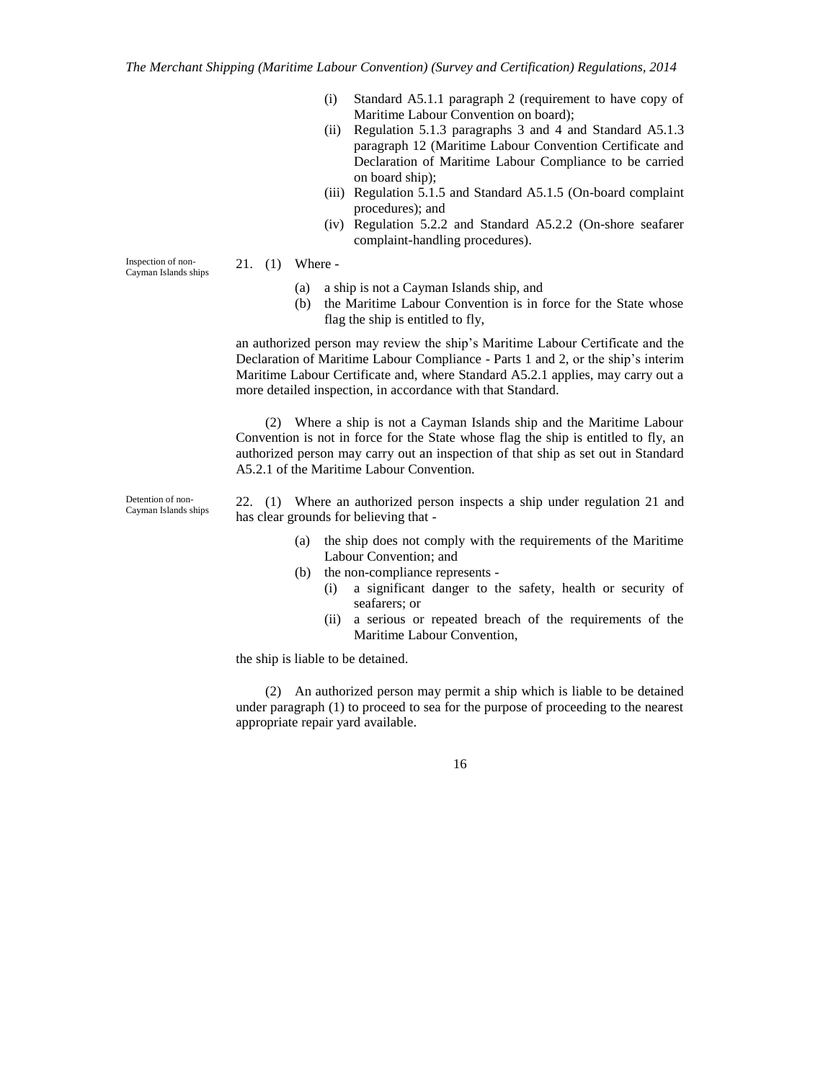- (i) Standard A5.1.1 paragraph 2 (requirement to have copy of Maritime Labour Convention on board);
- (ii) Regulation 5.1.3 paragraphs 3 and 4 and Standard A5.1.3 paragraph 12 (Maritime Labour Convention Certificate and Declaration of Maritime Labour Compliance to be carried on board ship);
- (iii) Regulation 5.1.5 and Standard A5.1.5 (On-board complaint procedures); and
- (iv) Regulation 5.2.2 and Standard A5.2.2 (On-shore seafarer complaint-handling procedures).

#### 21. (1) Where -

- (a) a ship is not a Cayman Islands ship, and
- (b) the Maritime Labour Convention is in force for the State whose flag the ship is entitled to fly,

an authorized person may review the ship's Maritime Labour Certificate and the Declaration of Maritime Labour Compliance - Parts 1 and 2, or the ship's interim Maritime Labour Certificate and, where Standard A5.2.1 applies, may carry out a more detailed inspection, in accordance with that Standard.

(2) Where a ship is not a Cayman Islands ship and the Maritime Labour Convention is not in force for the State whose flag the ship is entitled to fly, an authorized person may carry out an inspection of that ship as set out in Standard A5.2.1 of the Maritime Labour Convention.

22. (1) Where an authorized person inspects a ship under regulation 21 and has clear grounds for believing that -

- (a) the ship does not comply with the requirements of the Maritime Labour Convention; and
- (b) the non-compliance represents
	- (i) a significant danger to the safety, health or security of seafarers; or
	- (ii) a serious or repeated breach of the requirements of the Maritime Labour Convention,

the ship is liable to be detained.

(2) An authorized person may permit a ship which is liable to be detained under paragraph (1) to proceed to sea for the purpose of proceeding to the nearest appropriate repair yard available.

16

Inspection of non-Cayman Islands ships

Detention of non-Cayman Islands ships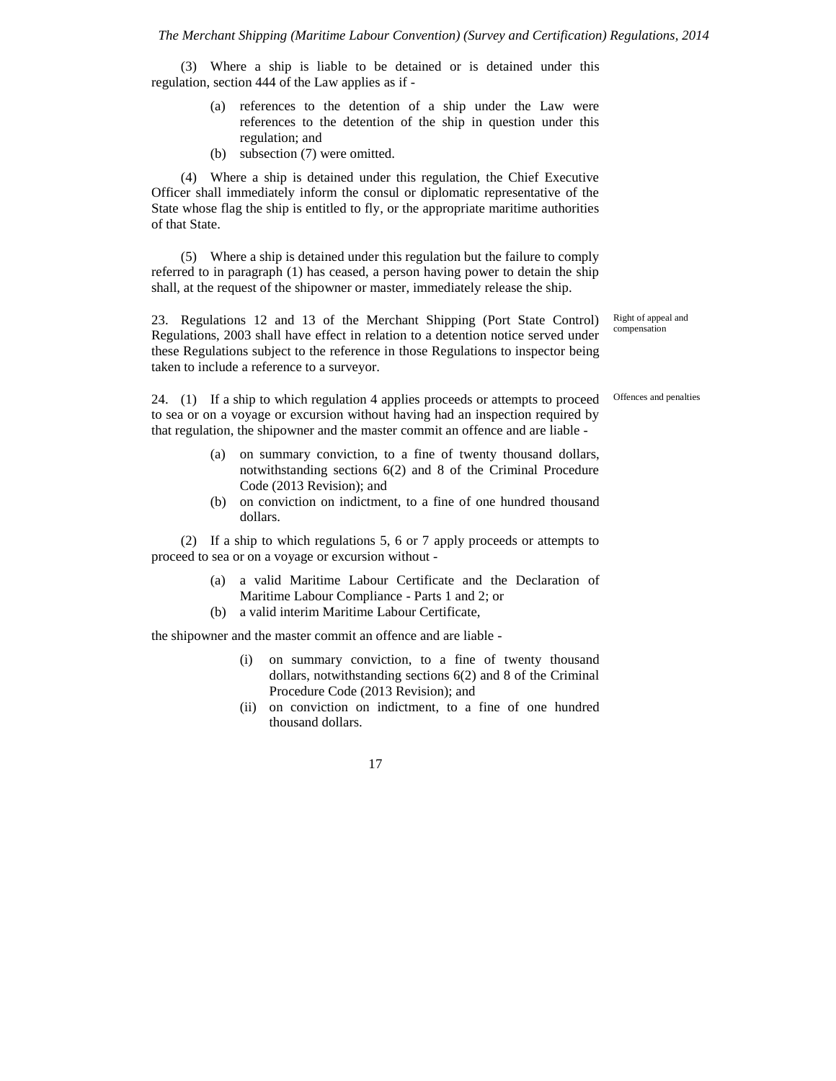(3) Where a ship is liable to be detained or is detained under this regulation, section 444 of the Law applies as if -

- (a) references to the detention of a ship under the Law were references to the detention of the ship in question under this regulation; and
- (b) subsection (7) were omitted.

(4) Where a ship is detained under this regulation, the Chief Executive Officer shall immediately inform the consul or diplomatic representative of the State whose flag the ship is entitled to fly, or the appropriate maritime authorities of that State.

(5) Where a ship is detained under this regulation but the failure to comply referred to in paragraph (1) has ceased, a person having power to detain the ship shall, at the request of the shipowner or master, immediately release the ship.

23. Regulations 12 and 13 of the Merchant Shipping (Port State Control) Regulations, 2003 shall have effect in relation to a detention notice served under these Regulations subject to the reference in those Regulations to inspector being taken to include a reference to a surveyor.

Right of appeal and compensation

Offences and penalties

24. (1) If a ship to which regulation 4 applies proceeds or attempts to proceed to sea or on a voyage or excursion without having had an inspection required by that regulation, the shipowner and the master commit an offence and are liable -

- (a) on summary conviction, to a fine of twenty thousand dollars, notwithstanding sections 6(2) and 8 of the Criminal Procedure Code (2013 Revision); and
- (b) on conviction on indictment, to a fine of one hundred thousand dollars.

(2) If a ship to which regulations 5, 6 or 7 apply proceeds or attempts to proceed to sea or on a voyage or excursion without -

- (a) a valid Maritime Labour Certificate and the Declaration of Maritime Labour Compliance - Parts 1 and 2; or
- (b) a valid interim Maritime Labour Certificate,

the shipowner and the master commit an offence and are liable -

- (i) on summary conviction, to a fine of twenty thousand dollars, notwithstanding sections 6(2) and 8 of the Criminal Procedure Code (2013 Revision); and
- (ii) on conviction on indictment, to a fine of one hundred thousand dollars.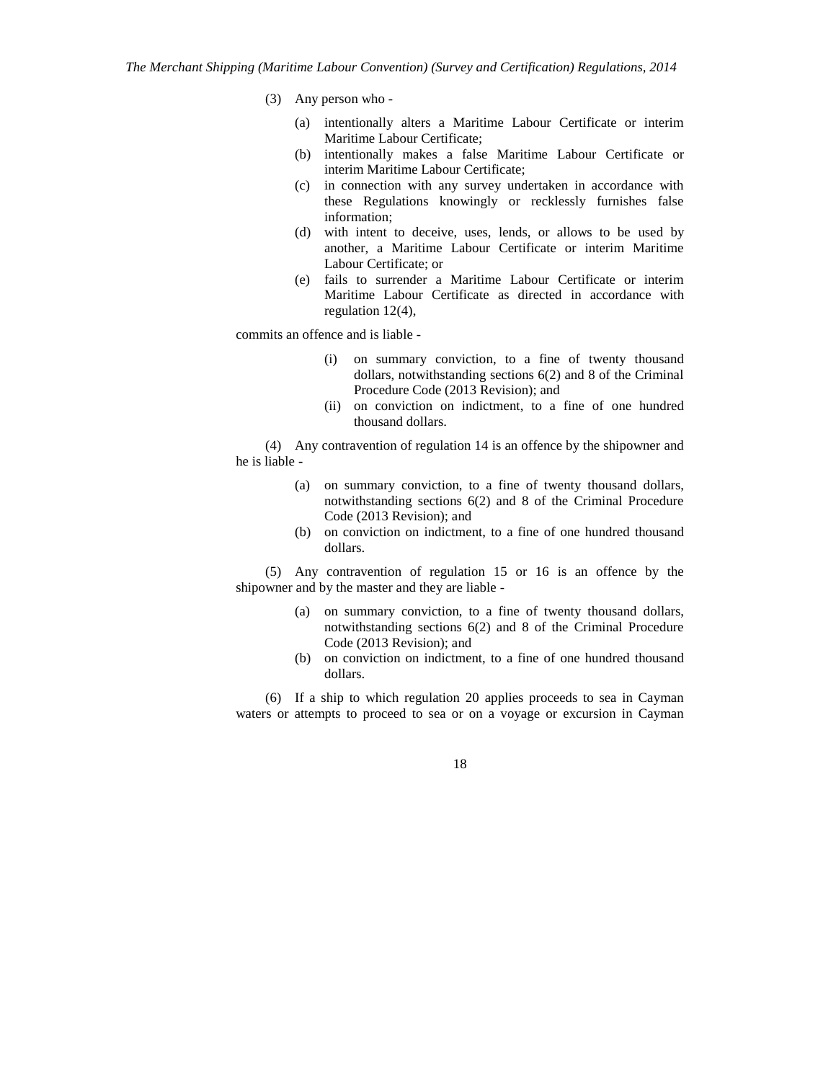- (3) Any person who
	- (a) intentionally alters a Maritime Labour Certificate or interim Maritime Labour Certificate;
	- (b) intentionally makes a false Maritime Labour Certificate or interim Maritime Labour Certificate;
	- (c) in connection with any survey undertaken in accordance with these Regulations knowingly or recklessly furnishes false information;
	- (d) with intent to deceive, uses, lends, or allows to be used by another, a Maritime Labour Certificate or interim Maritime Labour Certificate; or
	- (e) fails to surrender a Maritime Labour Certificate or interim Maritime Labour Certificate as directed in accordance with regulation 12(4),

commits an offence and is liable -

- (i) on summary conviction, to a fine of twenty thousand dollars, notwithstanding sections 6(2) and 8 of the Criminal Procedure Code (2013 Revision); and
- (ii) on conviction on indictment, to a fine of one hundred thousand dollars.

(4) Any contravention of regulation 14 is an offence by the shipowner and he is liable -

- (a) on summary conviction, to a fine of twenty thousand dollars, notwithstanding sections 6(2) and 8 of the Criminal Procedure Code (2013 Revision); and
- (b) on conviction on indictment, to a fine of one hundred thousand dollars.

(5) Any contravention of regulation 15 or 16 is an offence by the shipowner and by the master and they are liable -

- (a) on summary conviction, to a fine of twenty thousand dollars, notwithstanding sections 6(2) and 8 of the Criminal Procedure Code (2013 Revision); and
- (b) on conviction on indictment, to a fine of one hundred thousand dollars.

(6) If a ship to which regulation 20 applies proceeds to sea in Cayman waters or attempts to proceed to sea or on a voyage or excursion in Cayman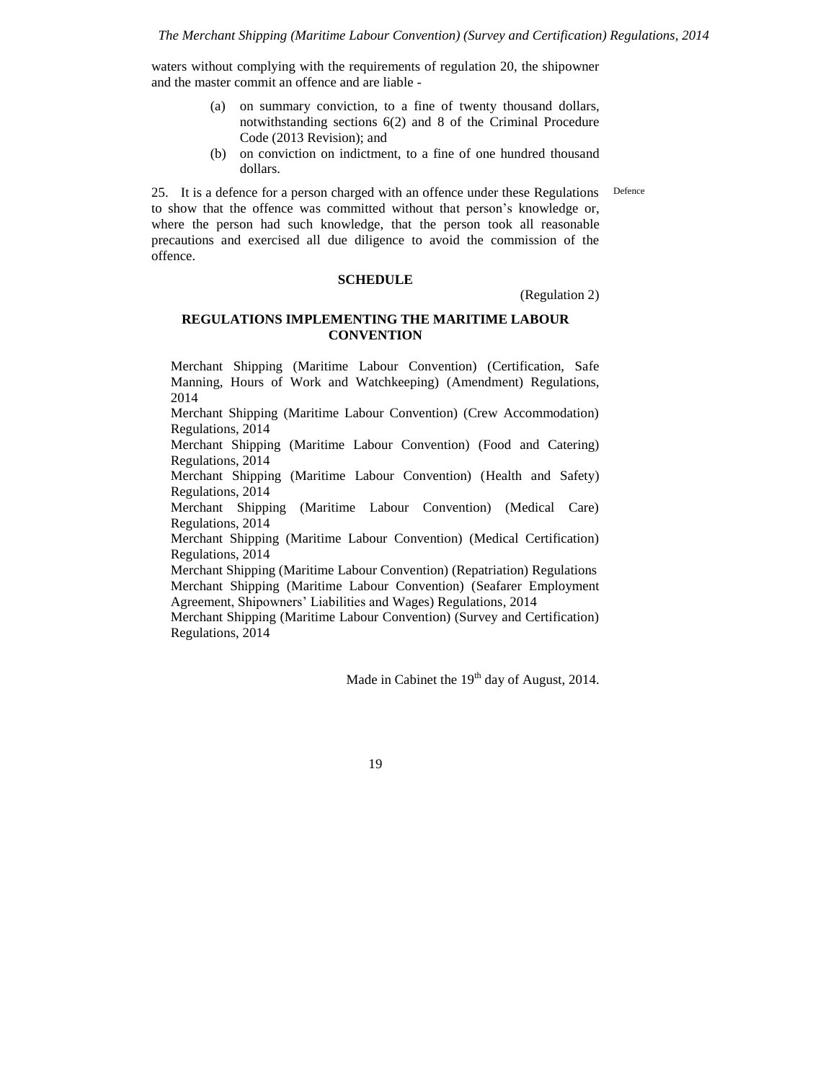waters without complying with the requirements of regulation 20, the shipowner and the master commit an offence and are liable -

- (a) on summary conviction, to a fine of twenty thousand dollars, notwithstanding sections 6(2) and 8 of the Criminal Procedure Code (2013 Revision); and
- (b) on conviction on indictment, to a fine of one hundred thousand dollars.

Defence

25. It is a defence for a person charged with an offence under these Regulations to show that the offence was committed without that person's knowledge or, where the person had such knowledge, that the person took all reasonable precautions and exercised all due diligence to avoid the commission of the offence.

#### **SCHEDULE**

(Regulation 2)

## **REGULATIONS IMPLEMENTING THE MARITIME LABOUR CONVENTION**

Merchant Shipping (Maritime Labour Convention) (Certification, Safe Manning, Hours of Work and Watchkeeping) (Amendment) Regulations, 2014

Merchant Shipping (Maritime Labour Convention) (Crew Accommodation) Regulations, 2014

Merchant Shipping (Maritime Labour Convention) (Food and Catering) Regulations, 2014

Merchant Shipping (Maritime Labour Convention) (Health and Safety) Regulations, 2014

Merchant Shipping (Maritime Labour Convention) (Medical Care) Regulations, 2014

Merchant Shipping (Maritime Labour Convention) (Medical Certification) Regulations, 2014

Merchant Shipping (Maritime Labour Convention) (Repatriation) Regulations Merchant Shipping (Maritime Labour Convention) (Seafarer Employment Agreement, Shipowners' Liabilities and Wages) Regulations, 2014

Merchant Shipping (Maritime Labour Convention) (Survey and Certification) Regulations, 2014

Made in Cabinet the  $19<sup>th</sup>$  day of August, 2014.